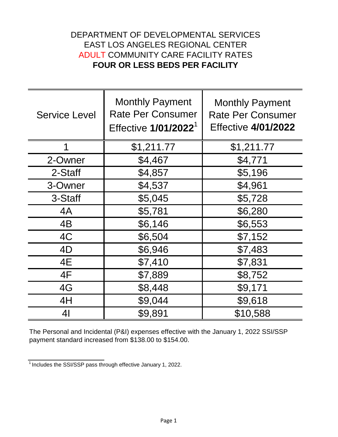## DEPARTMENT OF DEVELOPMENTAL SERVICES EAST LOS ANGELES REGIONAL CENTER ADULT COMMUNITY CARE FACILITY RATES **FOUR OR LESS BEDS PER FACILITY**

| <b>Service Level</b> | <b>Monthly Payment</b><br><b>Rate Per Consumer</b><br>Effective 1/01/2022 <sup>1</sup> | <b>Monthly Payment</b><br><b>Rate Per Consumer</b><br><b>Effective 4/01/2022</b> |
|----------------------|----------------------------------------------------------------------------------------|----------------------------------------------------------------------------------|
| 1                    | \$1,211.77                                                                             | \$1,211.77                                                                       |
| 2-Owner              | \$4,467                                                                                | \$4,771                                                                          |
| 2-Staff              | \$4,857                                                                                | \$5,196                                                                          |
| 3-Owner              | \$4,537                                                                                | \$4,961                                                                          |
| 3-Staff              | \$5,045                                                                                | \$5,728                                                                          |
| 4A                   | \$5,781                                                                                | \$6,280                                                                          |
| 4B                   | \$6,146                                                                                | \$6,553                                                                          |
| 4C                   | \$6,504                                                                                | \$7,152                                                                          |
| 4D                   | \$6,946                                                                                | \$7,483                                                                          |
| 4E                   | \$7,410                                                                                | \$7,831                                                                          |
| 4F                   | \$7,889                                                                                | \$8,752                                                                          |
| 4G                   | \$8,448                                                                                | \$9,171                                                                          |
| 4H                   | \$9,044                                                                                | \$9,618                                                                          |
| 4 <sub>l</sub>       | \$9,891                                                                                | \$10,588                                                                         |

The Personal and Incidental (P&I) expenses effective with the January 1, 2022 SSI/SSP payment standard increased from \$138.00 to \$154.00.

 $\frac{1}{1}$ Includes the SSI/SSP pass through effective January 1, 2022.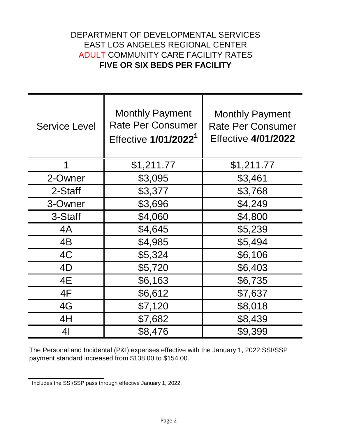## DEPARTMENT OF DEVELOPMENTAL SERVICES EAST LOS ANGELES REGIONAL CENTER ADULT COMMUNITY CARE FACILITY RATES **FIVE OR SIX BEDS PER FACILITY**

| <b>Service Level</b> | <b>Monthly Payment</b><br><b>Rate Per Consumer</b><br>Effective 1/01/2022 <sup>1</sup> | <b>Monthly Payment</b><br><b>Rate Per Consumer</b><br><b>Effective 4/01/2022</b> |
|----------------------|----------------------------------------------------------------------------------------|----------------------------------------------------------------------------------|
| 1                    | \$1,211.77                                                                             | \$1,211.77                                                                       |
| 2-Owner              | \$3,095                                                                                | \$3,461                                                                          |
| 2-Staff              | \$3,377                                                                                | \$3,768                                                                          |
| 3-Owner              | \$3,696                                                                                | \$4,249                                                                          |
| 3-Staff              | \$4,060                                                                                | \$4,800                                                                          |
| 4A                   | \$4,645                                                                                | \$5,239                                                                          |
| 4B                   | \$4,985                                                                                | \$5,494                                                                          |
| 4C                   | \$5,324                                                                                | \$6,106                                                                          |
| 4D                   | \$5,720                                                                                | \$6,403                                                                          |
| 4E                   | \$6,163                                                                                | \$6,735                                                                          |
| 4F                   | \$6,612                                                                                | \$7,637                                                                          |
| 4G                   | \$7,120                                                                                | \$8,018                                                                          |
| 4H                   | \$7,682                                                                                | \$8,439                                                                          |
| 41                   | \$8,476                                                                                | \$9,399                                                                          |

The Personal and Incidental (P&I) expenses effective with the January 1, 2022 SSI/SSP payment standard increased from \$138.00 to \$154.00.

 $\frac{1}{1}$  Includes the SSI/SSP pass through effective January 1, 2022.